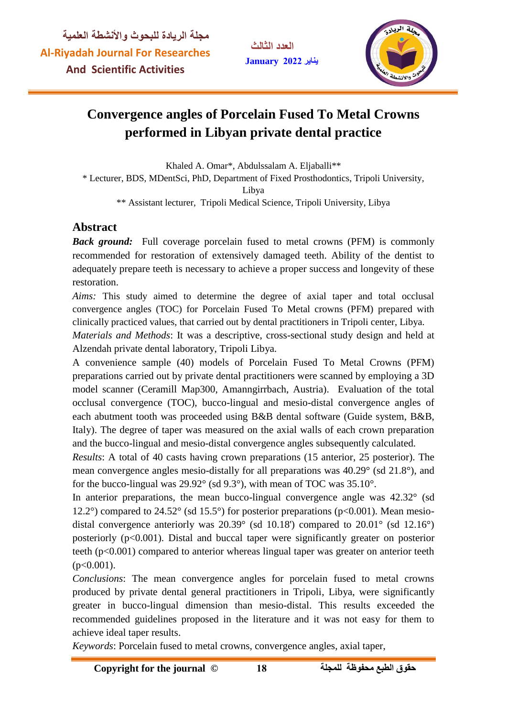**العدد الثالث يناير January**



# **Convergence angles of Porcelain Fused To Metal Crowns performed in Libyan private dental practice**

Khaled A. Omar\*, Abdulssalam A. Eljaballi\*\* \* Lecturer, BDS, MDentSci, PhD, Department of Fixed Prosthodontics, Tripoli University, Libya

\*\* Assistant lecturer, Tripoli Medical Science, Tripoli University, Libya

## **Abstract**

*Back ground:* Full coverage porcelain fused to metal crowns (PFM) is commonly recommended for restoration of extensively damaged teeth. Ability of the dentist to adequately prepare teeth is necessary to achieve a proper success and longevity of these restoration.

*Aims:* This study aimed to determine the degree of axial taper and total occlusal convergence angles (TOC) for Porcelain Fused To Metal crowns (PFM) prepared with clinically practiced values, that carried out by dental practitioners in Tripoli center, Libya.

*Materials and Methods*: It was a descriptive, cross-sectional study design and held at Alzendah private dental laboratory, Tripoli Libya.

A convenience sample (40) models of Porcelain Fused To Metal Crowns (PFM) preparations carried out by private dental practitioners were scanned by employing a 3D model scanner (Ceramill Map300, Amanngirrbach, Austria). Evaluation of the total occlusal convergence (TOC), bucco-lingual and mesio-distal convergence angles of each abutment tooth was proceeded using B&B dental software (Guide system, B&B, Italy). The degree of taper was measured on the axial walls of each crown preparation and the bucco-lingual and mesio-distal convergence angles subsequently calculated.

*Results*: A total of 40 casts having crown preparations (15 anterior, 25 posterior). The mean convergence angles mesio-distally for all preparations was 40.29° (sd 21.8°), and for the bucco-lingual was 29.92° (sd 9.3°), with mean of TOC was 35.10°.

In anterior preparations, the mean bucco-lingual convergence angle was 42.32° (sd) 12.2°) compared to 24.52° (sd 15.5°) for posterior preparations ( $p<0.001$ ). Mean mesiodistal convergence anteriorly was  $20.39^{\circ}$  (sd 10.18') compared to  $20.01^{\circ}$  (sd 12.16<sup>°</sup>) posteriorly (p<0.001). Distal and buccal taper were significantly greater on posterior teeth (p<0.001) compared to anterior whereas lingual taper was greater on anterior teeth  $(p<0.001)$ .

*Conclusions*: The mean convergence angles for porcelain fused to metal crowns produced by private dental general practitioners in Tripoli, Libya, were significantly greater in bucco-lingual dimension than mesio-distal. This results exceeded the recommended guidelines proposed in the literature and it was not easy for them to achieve ideal taper results.

*Keywords*: Porcelain fused to metal crowns, convergence angles, axial taper,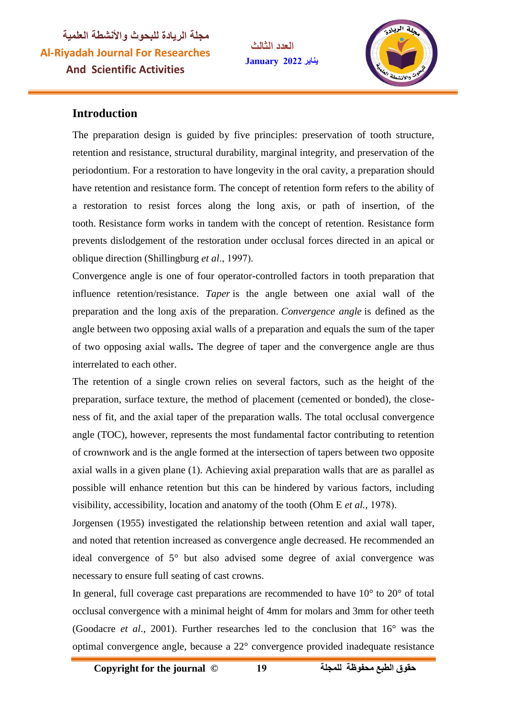**العدد الثالث يناير January**



## **Introduction**

The preparation design is guided by five principles: preservation of tooth structure, retention and resistance, structural durability, marginal integrity, and preservation of the periodontium. For a restoration to have longevity in the oral cavity, a preparation should have retention and resistance form. The concept of retention form refers to the ability of a restoration to resist forces along the long axis, or path of insertion, of the tooth. Resistance form works in tandem with the concept of retention. Resistance form prevents dislodgement of the restoration under occlusal forces directed in an apical or oblique direction (Shillingburg *et al*

Convergence angle is one of four operator-controlled factors in tooth preparation that influence retention/resistance. *Taper* is the angle between one axial wall of the preparation and the long axis of the preparation. *Convergence angle* is defined as the angle between two opposing axial walls of a preparation and equals the sum of the taper of two opposing axial walls**.** The degree of taper and the convergence angle are thus interrelated to each other.

The retention of a single crown relies on several factors, such as the height of the preparation, surface texture, the method of placement (cemented or bonded), the closeness of fit, and the axial taper of the preparation walls. The total occlusal convergence angle (TOC), however, represents the most fundamental factor contributing to retention of crownwork and is the angle formed at the intersection of tapers between two opposite axial walls in a given plane (1). Achieving axial preparation walls that are as parallel as possible will enhance retention but this can be hindered by various factors, including visibility, accessibility, location and anatomy of the tooth (Ohm E *et al.,*

Jorgensen (1955) investigated the relationship between retention and axial wall taper, and noted that retention increased as convergence angle decreased. He recommended an ideal convergence of 5° but also advised some degree of axial convergence was necessary to ensure full seating of cast crowns.

In general, full coverage cast preparations are recommended to have  $10^{\circ}$  to  $20^{\circ}$  of total occlusal convergence with a minimal height of 4mm for molars and 3mm for other teeth (Goodacre *et al*., 2001). Further researches led to the conclusion that 16° was the optimal convergence angle, because a 22° convergence provided inadequate resistance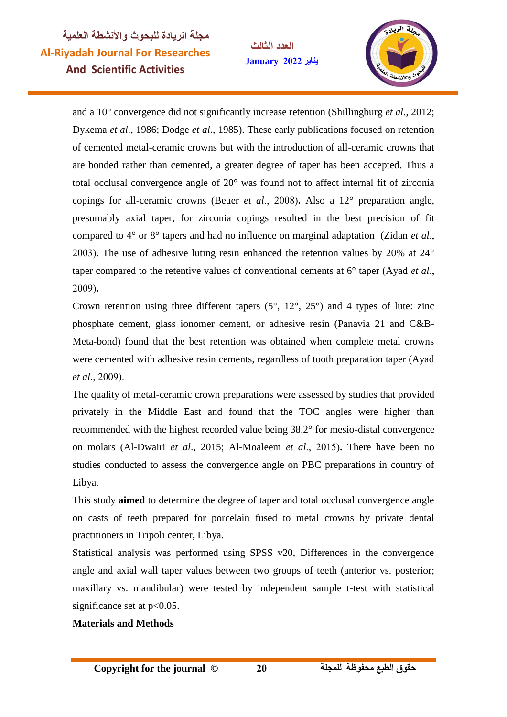**العدد الثالث يناير January**



and a 10° convergence did not significantly increase retention (Shillingburg *et al*., 2012; Dykema *et al*., 1986; Dodge *et al*., 1985). These early publications focused on retention of cemented metal-ceramic crowns but with the introduction of all-ceramic crowns that are bonded rather than cemented, a greater degree of taper has been accepted. Thus a total occlusal convergence angle of 20° was found not to affect internal fit of zirconia copings for all-ceramic crowns (Beuer *et al.*, 2008). Also a  $12^{\circ}$  preparation angle, presumably axial taper, for zirconia copings resulted in the best precision of fit compared to 4° or 8° tapers and had no influence on marginal adaptation (Zidan *et al* **.** The use of adhesive luting resin enhanced the retention values by 20% at 24° taper compared to the retentive values of conventional cements at 6° taper (Ayad *et al* **.**

Crown retention using three different tapers  $(5^{\circ}, 12^{\circ}, 25^{\circ})$  and 4 types of lute: zinc phosphate cement, glass ionomer cement, or adhesive resin (Panavia 21 and C&B-Meta-bond) found that the best retention was obtained when complete metal crowns were cemented with adhesive resin cements, regardless of tooth preparation taper (Ayad *et al*

The quality of metal-ceramic crown preparations were assessed by studies that provided privately in the Middle East and found that the TOC angles were higher than recommended with the highest recorded value being 38.2° for mesio-distal convergence on molars (Al-Dwairi *et al.*, 2015; Al-Moaleem *et al.*, 2015). There have been no studies conducted to assess the convergence angle on PBC preparations in country of Libya.

This study **aimed** to determine the degree of taper and total occlusal convergence angle on casts of teeth prepared for porcelain fused to metal crowns by private dental practitioners in Tripoli center, Libya.

Statistical analysis was performed using SPSS v20, Differences in the convergence angle and axial wall taper values between two groups of teeth (anterior vs. posterior; maxillary vs. mandibular) were tested by independent sample t-test with statistical significance set at  $p<0.05$ .

#### **Materials and Methods**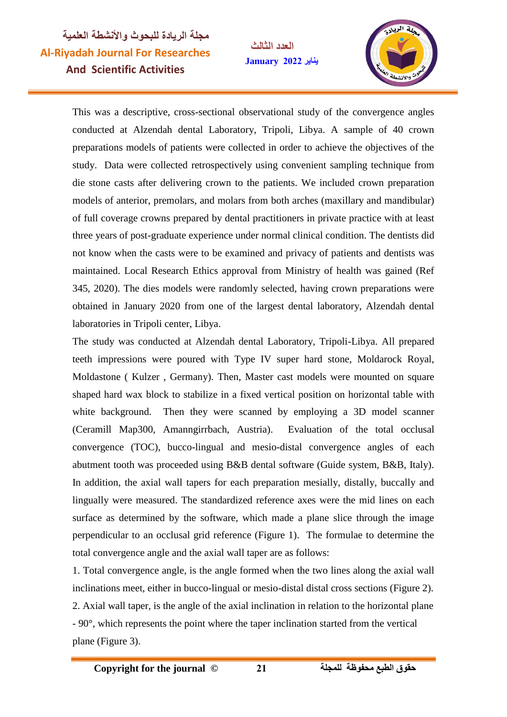**العدد الثالث يناير January**



This was a descriptive, cross-sectional observational study of the convergence angles conducted at Alzendah dental Laboratory, Tripoli, Libya. A sample of 40 crown preparations models of patients were collected in order to achieve the objectives of the study. Data were collected retrospectively using convenient sampling technique from die stone casts after delivering crown to the patients. We included crown preparation models of anterior, premolars, and molars from both arches (maxillary and mandibular) of full coverage crowns prepared by dental practitioners in private practice with at least three years of post-graduate experience under normal clinical condition. The dentists did not know when the casts were to be examined and privacy of patients and dentists was maintained. Local Research Ethics approval from Ministry of health was gained (Ref 345, 2020). The dies models were randomly selected, having crown preparations were obtained in January 2020 from one of the largest dental laboratory, Alzendah dental laboratories in Tripoli center, Libya.

The study was conducted at Alzendah dental Laboratory, Tripoli-Libya. All prepared teeth impressions were poured with Type IV super hard stone, Moldarock Royal, Moldastone ( Kulzer , Germany). Then, Master cast models were mounted on square shaped hard wax block to stabilize in a fixed vertical position on horizontal table with white background. Then they were scanned by employing a 3D model scanner (Ceramill Map300, Amanngirrbach, Austria). Evaluation of the total occlusal convergence (TOC), bucco-lingual and mesio-distal convergence angles of each abutment tooth was proceeded using B&B dental software (Guide system, B&B, Italy). In addition, the axial wall tapers for each preparation mesially, distally, buccally and lingually were measured. The standardized reference axes were the mid lines on each surface as determined by the software, which made a plane slice through the image perpendicular to an occlusal grid reference (Figure 1). The formulae to determine the total convergence angle and the axial wall taper are as follows:

1. Total convergence angle, is the angle formed when the two lines along the axial wall inclinations meet, either in bucco-lingual or mesio-distal distal cross sections (Figure 2). 2. Axial wall taper, is the angle of the axial inclination in relation to the horizontal plane - 90°, which represents the point where the taper inclination started from the vertical plane (Figure 3).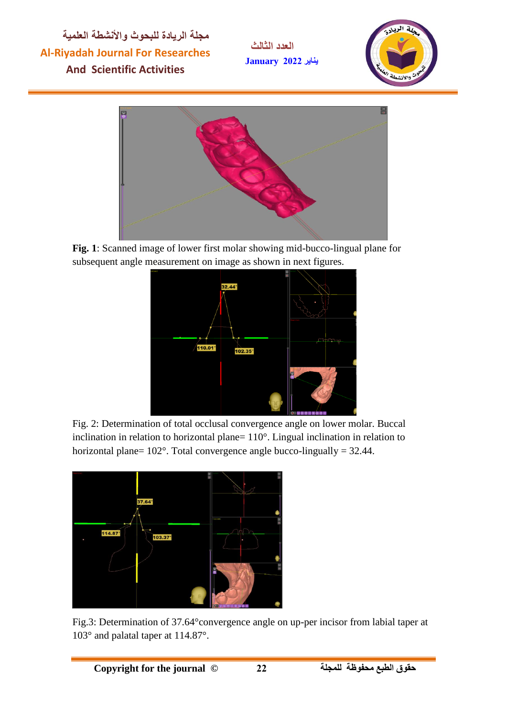**العدد الثالث يناير January**





**Fig. 1**: Scanned image of lower first molar showing mid-bucco-lingual plane for subsequent angle measurement on image as shown in next figures.



Fig. 2: Determination of total occlusal convergence angle on lower molar. Buccal inclination in relation to horizontal plane= 110°. Lingual inclination in relation to horizontal plane=  $102^\circ$ . Total convergence angle bucco-lingually = 32.44.



Fig.3: Determination of 37.64°convergence angle on up-per incisor from labial taper at 103° and palatal taper at 114.87°.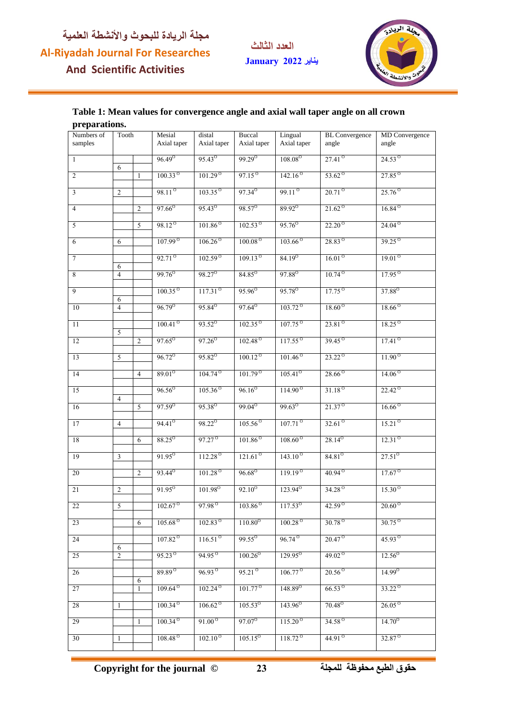**العدد الثالث يناير January**



#### **Table 1: Mean values for convergence angle and axial wall taper angle on all crown preparations.**

| Pr spurumomo          |       |    |                       |                       |                       |                        |                                |                            |
|-----------------------|-------|----|-----------------------|-----------------------|-----------------------|------------------------|--------------------------------|----------------------------|
| Numbers of<br>samples | Tooth |    | Mesial<br>Axial taper | distal<br>Axial taper | Buccal<br>Axial taper | Lingual<br>Axial taper | <b>BL</b> Convergence<br>angle | MD Convergence<br>angle    |
| 1                     | 6     |    | $96.49^{\circ}$       | $95.43^{\circ}$       | $99.29^{\circ}$       | 108.08 <sup>o</sup>    | $27.41^{\circ}$                | $24.53^{\circ}$            |
| $\mathfrak{2}$        |       | -1 | $100.33^{\circ}$      | $101.29^\circ$        | $97.15^{\circ}$       | 142.16 <sup>o</sup>    | $53.62^{\circ}$                | $27.85^{o}$                |
| $\mathfrak{Z}$        | 2     |    | $98.11^{\circ}$       | $103.35^{\circ}$      | $97.34^{o}$           | $99.11^{\circ}$        | $20.71^{\circ}$                | $25.76^{o}$                |
| $\overline{4}$        |       | 2  | $97.66^{\circ}$       | 95.43 <sup>o</sup>    | 98.57 <sup>°</sup>    | 89.92 <sup>o</sup>     | $21.62^{\circ}$                | $16.84^{\circ}$            |
| 5                     |       | 5  | 98.12 <sup>o</sup>    | $101.86^{\circ}$      | $102.53^{\circ}$      | $95.76^{\circ}$        | $22.20^{\circ}$                | $24.04^{\circ}$            |
| 6                     | 6     |    | 107.99 <sup>o</sup>   | $106.26^{\circ}$      | 100.08 <sup>o</sup>   | $103.66^\circ$         | 28.83 <sup>o</sup>             | $39.25^{o}$                |
| $\boldsymbol{7}$      | 6     |    | $92.71^\circ$         | 102.59 <sup>o</sup>   | $109.13^{\circ}$      | $84.19^{0}$            | $16.01^{\circ}$                | 19.01 <sup>o</sup>         |
| 8                     | 4     |    | 99.76 <sup>o</sup>    | 98.27 <sup>0</sup>    | 84.85 <sup>°</sup>    | 97.88 <sup>o</sup>     | $10.74^{\circ}$                | $17.95^{o}$                |
| 9                     | 6     |    | $100.35^{\circ}$      | 117.31 <sup>o</sup>   | 95.96 <sup>o</sup>    | 95.78 <sup>o</sup>     | $17.75^{o}$                    | 37.88 <sup>o</sup>         |
| $10\,$                | 4     |    | $96.79^{\circ}$       | $95.84^{o}$           | $97.64^{\circ}$       | $103.72^{\circ}$       | $18.60^{\circ}$                | $18.66^{\circ}$            |
| 11                    | 5     |    | $100.41^\circ$        | $93.52^{\circ}$       | $102.35^{\circ}$      | $107.75^{o}$           | $23.81^{\circ}$                | $18.25^{\circ}$            |
| 12                    |       | 2  | $97.65^{\circ}$       | $97.26^{\circ}$       | 102.48 <sup>o</sup>   | $117.55^{\circ}$       | $39.45^{\circ}$                | $17.41^{\circ}$            |
| 13                    | 5     |    | $96.72^{\circ}$       | $95.82^{\circ}$       | $100.12^{\circ}$      | $101.46^{\circ}$       | $23.22^{\circ}$                | $11.90^{\circ}$            |
| 14                    |       | 4  | $89.01^{o}$           | $104.74^{\circ}$      | $101.79^\circ$        | $105.41^{\circ}$       | $28.66^{\circ}$                | 14.06 <sup>o</sup>         |
| 15                    | 4     |    | $96.56^{\circ}$       | $105.36^{\circ}$      | $96.16^{\circ}$       | $114.90^{\circ}$       | $31.18^{\circ}$                | $22.42^{\circ}$            |
| 16                    |       | 5  | $97.59^{\circ}$       | 95.38 <sup>o</sup>    | 99.04 <sup>o</sup>    | 99.63 <sup>o</sup>     | $21.37^{\circ}$                | $16.66^{\circ}$            |
| 17                    | 4     |    | $94.41^{\circ}$       | 98.22 <sup>o</sup>    | $105.56^{\circ}$      | $107.71^{\circ}$       | $32.61^{\circ}$                | $15.21^{\circ}$            |
| $18\,$                |       | 6  | 88.25 <sup>o</sup>    | 97.27 <sup>°</sup>    | $101.86^{\circ}$      | $108.60^{\circ}$       | $28.14^{o}$                    | 12.31 <sup>o</sup>         |
| 19                    | 3     |    | $91.95^{\circ}$       | $112.28^{o}$          | $121.61^{\circ}$      | $143.10^{o}$           | $84.81^{0}$                    | $27.51^{\circ}$            |
| 20                    |       | 2  | 93.44 <sup>o</sup>    | 101.28 <sup>o</sup>   | $96.68^{\circ}$       | $119.19^\circ$         | $40.94^{\circ}$                | $17.67^{\circ}$            |
| 21                    | 2     |    | $91.95^{\circ}$       | 101.98 <sup>o</sup>   | $92.10^{o}$           | $123.94^{\circ}$       | 34.28 <sup>o</sup>             | $15.30^{\circ}$            |
| $22\,$                | 5     |    | $102.67^{\circ}$      | 97.98 <sup>o</sup>    | $103.86^\circ$        | $117.53^{\circ}$       | $42.59^{\circ}$                | $20.60\textsuperscript{o}$ |
| 23                    |       | 6  | $105.68^{\circ}$      | $102.83^{\circ}$      | $110.80^{\circ}$      | $100.28^{\circ}$       | $30.78^\circ$                  | $30.75^\circ$              |
| 24                    | 6     |    | 107.82 <sup>o</sup>   | 116.51 <sup>o</sup>   | $99.55^{\circ}$       | 96.74 <sup>o</sup>     | $20.47^{\circ}$                | 45.93 <sup>o</sup>         |
| 25                    | 2     |    | $95.23^{\circ}$       | 94.95 <sup>o</sup>    | $100.26^{\circ}$      | $129.95^{\circ}$       | 49.02 $^{\circ}$               | $12.56^{\circ}$            |
| 26                    |       | 6  | 89.89 <sup>o</sup>    | $96.93^{\circ}$       | $95.21^{\circ}$       | $106.77^{\circ}$       | $20.56^{\circ}$                | $14.99^{\circ}$            |
| 27                    |       |    | $109.64^{\circ}$      | $102.24^{\circ}$      | $101.77^{\circ}$      | $148.89^{\circ}$       | $66.53^{\circ}$                | $33.22^{\circ}$            |
| 28                    | 1     |    | 100.34 <sup>o</sup>   | $106.62^{\circ}$      | $105.53^{o}$          | $143.96^{\circ}$       | $70.48^{\circ}$                | $26.05^{\circ}$            |
| 29                    |       |    | 100.34 <sup>o</sup>   | $91.00^{\circ}$       | $97.07^{\circ}$       | $115.20^{\circ}$       | 34.58 <sup>o</sup>             | $14.70^{\circ}$            |
| 30                    | 1     |    | $108.48^{\circ}$      | $102.10^{\circ}$      | $105.15^{\circ}$      | $118.72^{\circ}$       | 44.91 <sup>o</sup>             | 32.87 <sup>°</sup>         |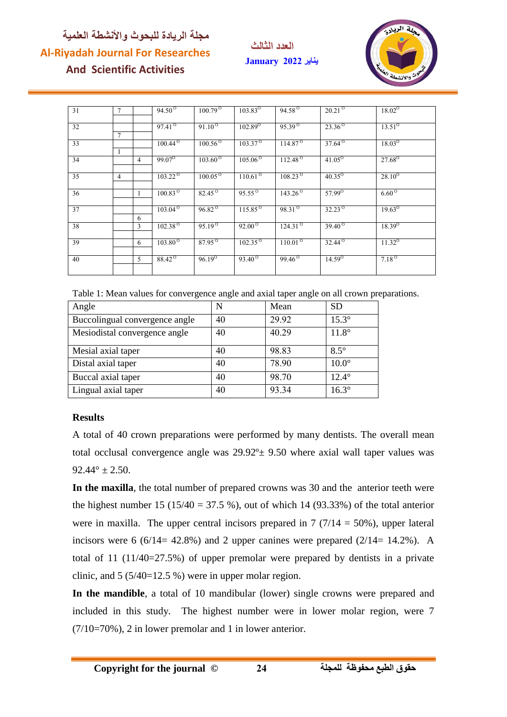**العدد الثالث يناير January**



| 31 | $\overline{7}$ |   | $94.50^{\circ}$                  | $100.79^\circ$   | $103.83^{O}$                | $94.58^{o}$           | $20.21^\circ$   | $18.02^{\circ}$ |
|----|----------------|---|----------------------------------|------------------|-----------------------------|-----------------------|-----------------|-----------------|
| 32 | $\tau$         |   | $97.41^{\circ}$                  | $91.10^{o}$      | $102.\overline{89^{\circ}}$ | $95.39^{o}$           | $23.36^{o}$     | $13.51^{\circ}$ |
| 33 |                |   | $100.44^{\circ}$                 | $100.56^{\circ}$ | $103.37^{o}$                | 114.87 <sup>o</sup>   | $37.64^{o}$     | $18.03^{\circ}$ |
| 34 |                | 4 | 99.07 <sup>o</sup>               | $103.60^{\circ}$ | $105.06^{0}$                | $112.48$ <sup>O</sup> | $41.05^{\circ}$ | $27.68^{0}$     |
| 35 | $\overline{4}$ |   | $103.22^\circ$                   | $100.05^{\circ}$ | $110.61^\circ$              | $108.23^{\circ}$      | $40.35^{\circ}$ | $28.10^{o}$     |
| 36 |                |   | $100.83^{\circ}$                 | $82.45^{\circ}$  | $95.55^\circ$               | $143.26^\circ$        | $57.99^{\circ}$ | $6.60^{\circ}$  |
| 37 |                | 6 | $103.04^{\circ}$                 | $96.82^{\circ}$  | $115.85^{\circ}$            | $98.31^{o}$           | $32.23^{\circ}$ | $19.63^{\circ}$ |
| 38 |                | 3 | $102.38^{o}$                     | $95.19^{o}$      | $92.00^{0}$                 | $124.31^{o}$          | $39.40^{\circ}$ | $18.39^{O}$     |
| 39 |                | 6 | $103.\overline{80}$ <sup>O</sup> | $87.95^{\circ}$  | $102.35^{o}$                | $110.01^{\circ}$      | $32.44^{\circ}$ | $11.32^{\circ}$ |
| 40 |                | 5 | 88.42 <sup>o</sup>               | $96.19^{o}$      | $93.40^\circ$               | $99.46^{o}$           | $14.59^{0}$     | $7.18^\circ$    |

Table 1: Mean values for convergence angle and axial taper angle on all crown preparations.

| Angle                          | N  | Mean  | <b>SD</b>    |
|--------------------------------|----|-------|--------------|
| Buccolingual convergence angle | 40 | 29.92 | $15.3^\circ$ |
| Mesiodistal convergence angle  | 40 | 40.29 | $11.8^\circ$ |
| Mesial axial taper             | 40 | 98.83 | $8.5^\circ$  |
| Distal axial taper             | 40 | 78.90 | $10.0^\circ$ |
| Buccal axial taper             | 40 | 98.70 | $12.4^\circ$ |
| Lingual axial taper            | 40 | 93.34 | $16.3^\circ$ |

### **Results**

A total of 40 crown preparations were performed by many dentists. The overall mean total occlusal convergence angle was  $29.92^\circ \pm 9.50$  where axial wall taper values was  $92.44^{\circ} \pm 2.50$ .

**In the maxilla**, the total number of prepared crowns was 30 and the anterior teeth were the highest number 15 (15/40 = 37.5 %), out of which 14 (93.33%) of the total anterior were in maxilla. The upper central incisors prepared in  $7(7/14 = 50\%)$ , upper lateral incisors were 6 (6/14= 42.8%) and 2 upper canines were prepared (2/14= 14.2%). A total of 11 (11/40=27.5%) of upper premolar were prepared by dentists in a private clinic, and  $5(5/40=12.5\%)$  were in upper molar region.

**In the mandible**, a total of 10 mandibular (lower) single crowns were prepared and included in this study. The highest number were in lower molar region, were 7  $(7/10=70\%)$ , 2 in lower premolar and 1 in lower anterior.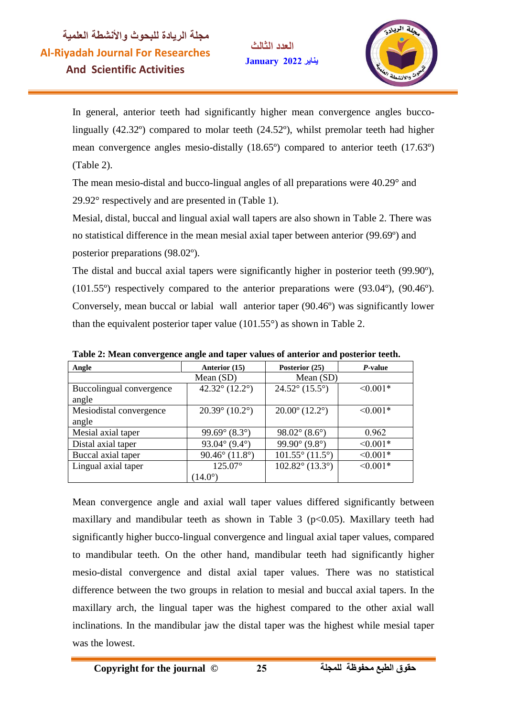**العدد الثالث يناير January**



In general, anterior teeth had significantly higher mean convergence angles buccolingually (42.32º) compared to molar teeth (24.52º), whilst premolar teeth had higher mean convergence angles mesio-distally (18.65º) compared to anterior teeth (17.63º) (Table 2).

The mean mesio-distal and bucco-lingual angles of all preparations were 40.29° and 29.92° respectively and are presented in (Table 1).

Mesial, distal, buccal and lingual axial wall tapers are also shown in Table 2. There was no statistical difference in the mean mesial axial taper between anterior (99.69º) and posterior preparations (98.02º).

The distal and buccal axial tapers were significantly higher in posterior teeth (99.90º), (101.55º) respectively compared to the anterior preparations were (93.04º), (90.46º). Conversely, mean buccal or labial wall anterior taper (90.46º) was significantly lower than the equivalent posterior taper value  $(101.55^{\circ})$  as shown in Table 2.

| Angle                    | Anterior (15)                       | Posterior (25)                     | P-value       |
|--------------------------|-------------------------------------|------------------------------------|---------------|
|                          | Mean $(SD)$                         | Mean (SD)                          |               |
| Buccolingual convergence | 42.32 $^{\circ}$ (12.2 $^{\circ}$ ) | $24.52^{\circ}$ (15.5°)            | $\leq 0.001*$ |
| angle                    |                                     |                                    |               |
| Mesiodistal convergence  | $20.39^{\circ}$ (10.2°)             | $20.00^{\circ}$ (12.2°)            | $\leq 0.001*$ |
| angle                    |                                     |                                    |               |
| Mesial axial taper       | 99.69 $^{\circ}$ (8.3 $^{\circ}$ )  | $98.02^{\circ}$ (8.6°)             | 0.962         |
| Distal axial taper       | 93.04 $^{\circ}$ (9.4 $^{\circ}$ )  | 99.90 $^{\circ}$ (9.8 $^{\circ}$ ) | $< 0.001*$    |
| Buccal axial taper       | $90.46^{\circ}$ (11.8°)             | $101.55^{\circ}$ (11.5°)           | $< 0.001*$    |
| Lingual axial taper      | $125.07^{\circ}$                    | $102.82^{\circ}$ (13.3°)           | $\leq 0.001*$ |
|                          | $(14.0^\circ)$                      |                                    |               |

**Table 2: Mean convergence angle and taper values of anterior and posterior teeth.**

Mean convergence angle and axial wall taper values differed significantly between maxillary and mandibular teeth as shown in Table 3 ( $p<0.05$ ). Maxillary teeth had significantly higher bucco-lingual convergence and lingual axial taper values, compared to mandibular teeth. On the other hand, mandibular teeth had significantly higher mesio-distal convergence and distal axial taper values. There was no statistical difference between the two groups in relation to mesial and buccal axial tapers. In the maxillary arch, the lingual taper was the highest compared to the other axial wall inclinations. In the mandibular jaw the distal taper was the highest while mesial taper was the lowest.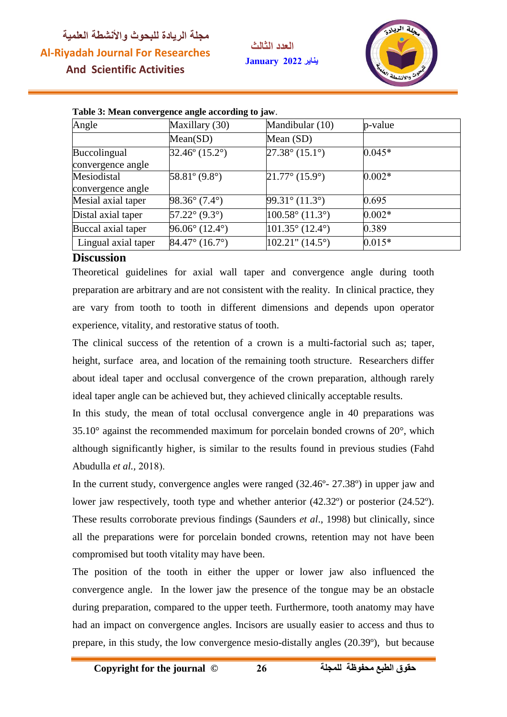**العدد الثالث يناير January**



| Table 5: Mean convergence angle according to jaw. |                         |                             |          |  |
|---------------------------------------------------|-------------------------|-----------------------------|----------|--|
| Angle                                             | Maxillary (30)          | Mandibular (10)             | p-value  |  |
|                                                   | Mean(SD)                | Mean (SD)                   |          |  |
| Buccolingual<br>convergence angle                 | $32.46^{\circ}$ (15.2°) | $27.38^{\circ}$ (15.1°)     | $0.045*$ |  |
| Mesiodistal<br>convergence angle                  | $58.81^{\circ}$ (9.8°)  | $21.77^{\circ}$ (15.9°)     | $0.002*$ |  |
| Mesial axial taper                                | $98.36^{\circ}$ (7.4°)  | $99.31^{\circ}$ (11.3°)     | 0.695    |  |
| Distal axial taper                                | $57.22^{\circ}$ (9.3°)  | $100.58^{\circ}$ (11.3°)    | $0.002*$ |  |
| Buccal axial taper                                | $96.06^{\circ}$ (12.4°) | $101.35^{\circ}$ (12.4°)    | 0.389    |  |
| Lingual axial taper                               | $84.47^{\circ}$ (16.7°) | $102.21$ " $(14.5^{\circ})$ | $0.015*$ |  |

#### **Table 3: Mean convergence angle according to jaw**.

#### **Discussion**

Theoretical guidelines for axial wall taper and convergence angle during tooth preparation are arbitrary and are not consistent with the reality. In clinical practice, they are vary from tooth to tooth in different dimensions and depends upon operator experience, vitality, and restorative status of tooth.

The clinical success of the retention of a crown is a multi-factorial such as; taper, height, surface area, and location of the remaining tooth structure. Researchers differ about ideal taper and occlusal convergence of the crown preparation, although rarely ideal taper angle can be achieved but, they achieved clinically acceptable results.

In this study, the mean of total occlusal convergence angle in 40 preparations was  $35.10^{\circ}$  against the recommended maximum for porcelain bonded crowns of  $20^{\circ}$ , which although significantly higher, is similar to the results found in previous studies (Fahd Abudulla *et al.,*

In the current study, convergence angles were ranged (32.46º- 27.38º) in upper jaw and lower jaw respectively, tooth type and whether anterior  $(42.32^{\circ})$  or posterior  $(24.52^{\circ})$ . These results corroborate previous findings (Saunders *et al*., 1998) but clinically, since all the preparations were for porcelain bonded crowns, retention may not have been compromised but tooth vitality may have been.

The position of the tooth in either the upper or lower jaw also influenced the convergence angle. In the lower jaw the presence of the tongue may be an obstacle during preparation, compared to the upper teeth. Furthermore, tooth anatomy may have had an impact on convergence angles. Incisors are usually easier to access and thus to prepare, in this study, the low convergence mesio-distally angles (20.39º), but because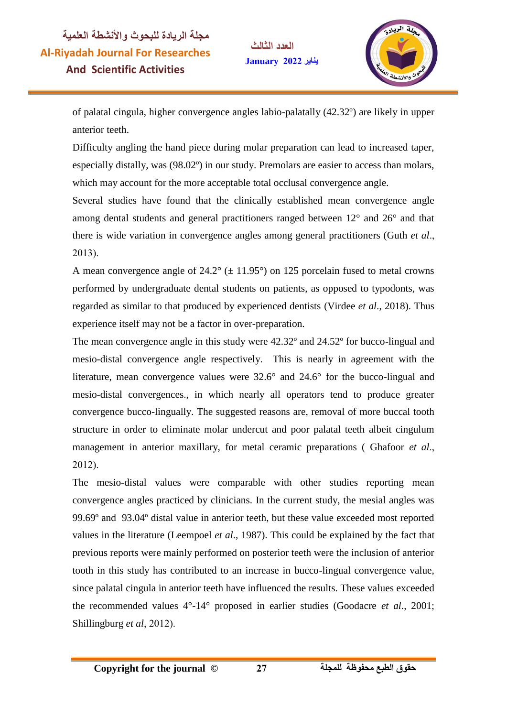**العدد الثالث يناير January**



of palatal cingula, higher convergence angles labio-palatally (42.32º) are likely in upper anterior teeth.

Difficulty angling the hand piece during molar preparation can lead to increased taper, especially distally, was (98.02º) in our study. Premolars are easier to access than molars, which may account for the more acceptable total occlusal convergence angle.

Several studies have found that the clinically established mean convergence angle among dental students and general practitioners ranged between 12° and 26° and that there is wide variation in convergence angles among general practitioners (Guth *et al*  $2013$ ).

A mean convergence angle of  $24.2^{\circ}$  ( $\pm$  11.95°) on 125 porcelain fused to metal crowns performed by undergraduate dental students on patients, as opposed to typodonts, was regarded as similar to that produced by experienced dentists (Virdee *et al*., 2018). Thus experience itself may not be a factor in over-preparation.

The mean convergence angle in this study were 42.32º and 24.52º for bucco-lingual and mesio-distal convergence angle respectively. This is nearly in agreement with the literature, mean convergence values were 32.6° and 24.6° for the bucco-lingual and mesio-distal convergences., in which nearly all operators tend to produce greater convergence bucco-lingually. The suggested reasons are, removal of more buccal tooth structure in order to eliminate molar undercut and poor palatal teeth albeit cingulum management in anterior maxillary, for metal ceramic preparations ( Ghafoor *et al*  $2012$ ).

The mesio-distal values were comparable with other studies reporting mean convergence angles practiced by clinicians. In the current study, the mesial angles was 99.69º and 93.04º distal value in anterior teeth, but these value exceeded most reported values in the literature (Leempoel *et al*., 1987). This could be explained by the fact that previous reports were mainly performed on posterior teeth were the inclusion of anterior tooth in this study has contributed to an increase in bucco-lingual convergence value, since palatal cingula in anterior teeth have influenced the results. These values exceeded the recommended values 4°-14° proposed in earlier studies (Goodacre *et al*., 2001; Shillingburg *et al*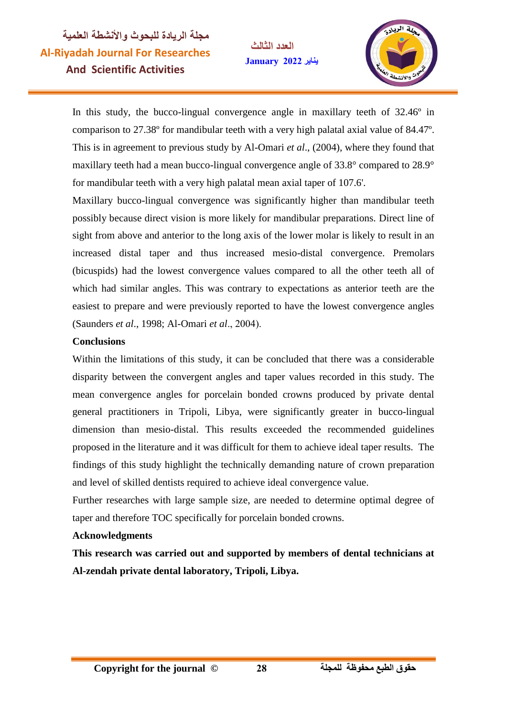**العدد الثالث يناير January**



In this study, the bucco-lingual convergence angle in maxillary teeth of 32.46<sup>o</sup> in comparison to 27.38º for mandibular teeth with a very high palatal axial value of 84.47º. This is in agreement to previous study by Al-Omari *et al*., (2004), where they found that maxillary teeth had a mean bucco-lingual convergence angle of 33.8° compared to 28.9° for mandibular teeth with a very high palatal mean axial taper of 107.6'.

Maxillary bucco-lingual convergence was significantly higher than mandibular teeth possibly because direct vision is more likely for mandibular preparations. Direct line of sight from above and anterior to the long axis of the lower molar is likely to result in an increased distal taper and thus increased mesio-distal convergence. Premolars (bicuspids) had the lowest convergence values compared to all the other teeth all of which had similar angles. This was contrary to expectations as anterior teeth are the easiest to prepare and were previously reported to have the lowest convergence angles (Saunders *et al*., 1998; Al-Omari *et al*

#### **Conclusions**

Within the limitations of this study, it can be concluded that there was a considerable disparity between the convergent angles and taper values recorded in this study. The mean convergence angles for porcelain bonded crowns produced by private dental general practitioners in Tripoli, Libya, were significantly greater in bucco-lingual dimension than mesio-distal. This results exceeded the recommended guidelines proposed in the literature and it was difficult for them to achieve ideal taper results. The findings of this study highlight the technically demanding nature of crown preparation and level of skilled dentists required to achieve ideal convergence value.

Further researches with large sample size, are needed to determine optimal degree of taper and therefore TOC specifically for porcelain bonded crowns.

#### **Acknowledgments**

**This research was carried out and supported by members of dental technicians at Al-zendah private dental laboratory, Tripoli, Libya.**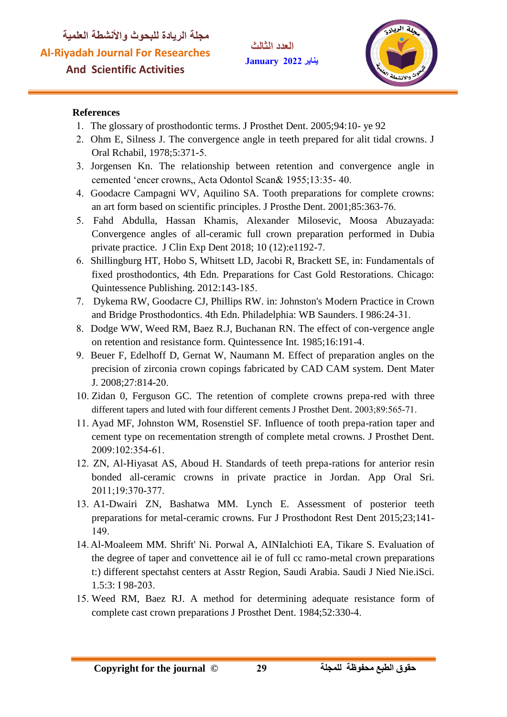

#### **References**

- The glossary of prosthodontic terms. J Prosthet Dent. 2005;94:10- ye 92
- Ohm E, Silness J. The convergence angle in teeth prepared for alit tidal crowns. J Oral Rchabil, 1978;5:371-
- Jorgensen Kn. The relationship between retention and convergence angle in cemented 'encer crowns, Acta Odontol Scan& 1955;13:35-40.
- Goodacre Campagni WV, Aquilino SA. Tooth preparations for complete crowns: an art form based on scientific principles. J Prosthe Dent. 2001;85:363-
- Fahd Abdulla, Hassan Khamis, Alexander Milosevic, Moosa Abuzayada: Convergence angles of all-ceramic full crown preparation performed in Dubia private practice. J Clin Exp Dent 2018; 10 (12):e1192-
- Shillingburg HT, Hobo S, Whitsett LD, Jacobi R, Brackett SE, in: Fundamentals of fixed prosthodontics, 4th Edn. Preparations for Cast Gold Restorations. Chicago: Quintessence Publishing. 2012:143-
- Dykema RW, Goodacre CJ, Phillips RW. in: Johnston's Modern Practice in Crown and Bridge Prosthodontics. 4th Edn. Philadelphia: WB Saunders. I 986:24-
- Dodge WW, Weed RM, Baez R.J, Buchanan RN. The effect of con-vergence angle on retention and resistance form. Quintessence Int. 1985;16:191-
- Beuer F, Edelhoff D, Gernat W, Naumann M. Effect of preparation angles on the precision of zirconia crown copings fabricated by CAD CAM system. Dent Mater J. 2008;27:814-
- 10. Zidan 0, Ferguson GC. The retention of complete crowns prepa-red with three different tapers and luted with four different cements J Prosthet Dent. 2003;89:565-71.
- Ayad MF, Johnston WM, Rosenstiel SF. Influence of tooth prepa-ration taper and cement type on recementation strength of complete metal crowns. J Prosthet Dent. 2009:102:354-61.
- 12. ZN, Al-Hiyasat AS, Aboud H. Standards of teeth prepa-rations for anterior resin bonded all-ceramic crowns in private practice in Jordan. App Oral Sri. 2011;19:370-377.
- A1-Dwairi ZN, Bashatwa MM. Lynch E. Assessment of posterior teeth preparations for metal-ceramic crowns. Fur J Prosthodont Rest Dent 2015;23;141- 149
- Al-Moaleem MM. Shrift' Ni. Porwal A, AINIalchioti EA, Tikare S. Evaluation of the degree of taper and convettence ail ie of full cc ramo-metal crown preparations t:) different spectahst centers at Asstr Region, Saudi Arabia. Saudi J Nied Nie.iSci. 1.5:3: I 98-203.
- 15. Weed RM, Baez RJ. A method for determining adequate resistance form of complete cast crown preparations J Prosthet Dent. 1984;52:330-